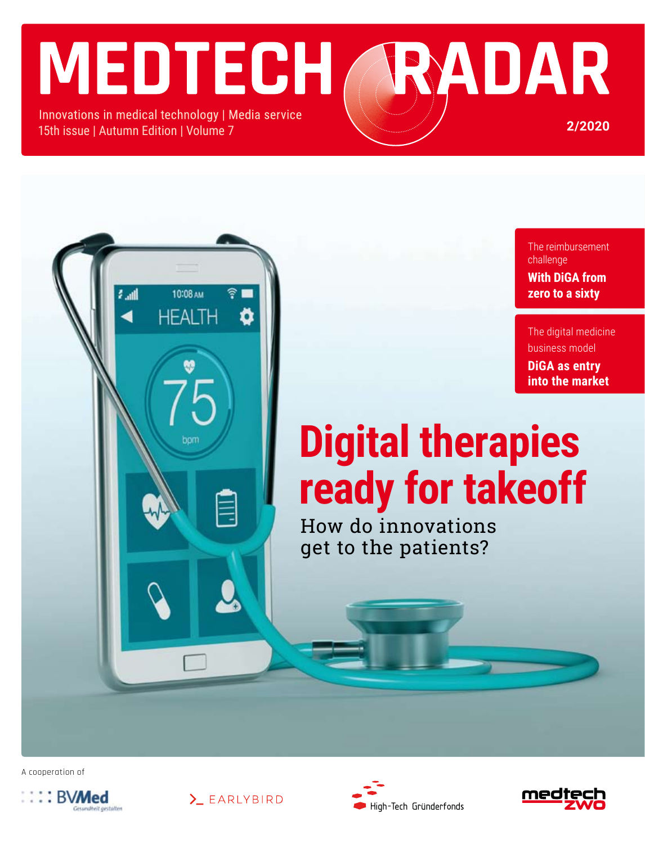# MEDTECH RADAR Innovations in medical technology | Media service

15th issue | Autumn Edition | Volume 7

أان

10:08 AM

HFAI TH

о

The reimbursement challenge **With DiGA from zero to a sixty**

**2/2020**

The digital medicine business model **DiGA as entry into the market**

# **Digital therapies ready for takeoff**

How do innovations get to the patients?

A cooperation of







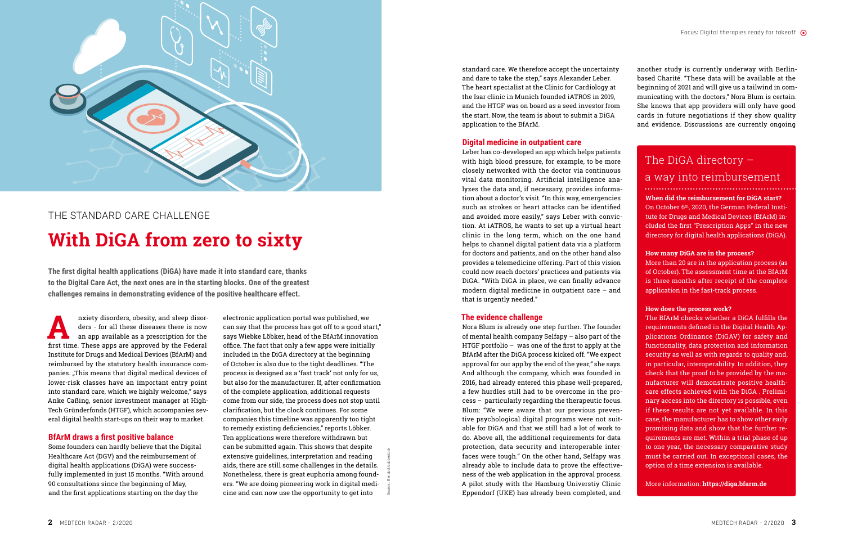

# The standard care Challenge **With DiGA from zero to sixty**

nxiety disorders, obesity, and sleep disorders - for all these diseases there is now<br>an app available as a prescription for the<br>first time. These apps are approved by the Eederal ders - for all these diseases there is now an app available as a prescription for the first time. These apps are approved by the Federal Institute for Drugs and Medical Devices (BfArM) and reimbursed by the statutory health insurance companies. "This means that digital medical devices of lower-risk classes have an important entry point into standard care, which we highly welcome," says Anke Caßing, senior investment manager at High-Tech Gründerfonds (HTGF), which accompanies several digital health start-ups on their way to market.

#### **BfArM draws a first positive balance**

Some founders can hardly believe that the Digital Healthcare Act (DGV) and the reimbursement of digital health applications (DiGA) were successfully implemented in just 15 months. "With around 90 consultations since the beginning of May, and the first applications starting on the day the

**The first digital health applications (DiGA) have made it into standard care, thanks to the Digital Care Act, the next ones are in the starting blocks. One of the greatest challenges remains in demonstrating evidence of the positive healthcare effect.**

> Source.: Elenabsl/adobestock electronic application portal was published, we can say that the process has got off to a good start," says Wiebke Löbker, head of the BfArM innovation office. The fact that only a few apps were initially included in the DiGA directory at the beginning of October is also due to the tight deadlines. "The process is designed as a 'fast track' not only for us, but also for the manufacturer. If, after confirmation of the complete application, additional requests come from our side, the process does not stop until clarification, but the clock continues. For some companies this timeline was apparently too tight to remedy existing deficiencies," reports Löbker. Ten applications were therefore withdrawn but can be submitted again. This shows that despite extensive guidelines, interpretation and reading aids, there are still some challenges in the details. Nonetheless, there is great euphoria among founders. "We are doing pioneering work in digital medicine and can now use the opportunity to get into

standard care. We therefore accept the uncertainty and dare to take the step," says Alexander Leber. The heart specialist at the Clinic for Cardiology at the Isar clinic in Munich founded iATROS in 2019, and the HTGF was on board as a seed investor from the start. Now, the team is about to submit a DiGA application to the BfArM.

#### **Digital medicine in outpatient care**

Leber has co-developed an app which helps patients with high blood pressure, for example, to be more closely networked with the doctor via continuous vital data monitoring. Artificial intelligence analyzes the data and, if necessary, provides information about a doctor's visit. "In this way, emergencies such as strokes or heart attacks can be identified and avoided more easily," says Leber with conviction. At iATROS, he wants to set up a virtual heart clinic in the long term, which on the one hand helps to channel digital patient data via a platform for doctors and patients, and on the other hand also provides a telemedicine offering. Part of this vision could now reach doctors' practices and patients via DiGA. "With DiGA in place, we can finally advance modern digital medicine in outpatient care – and that is urgently needed."

#### **The evidence challenge**

Nora Blum is already one step further. The founder of mental health company Selfapy – also part of the HTGF portfolio – was one of the first to apply at the BfArM after the DiGA process kicked off. "We expect approval for our app by the end of the year," she says. And although the company, which was founded in 2016, had already entered this phase well-prepared, a few hurdles still had to be overcome in the process – particularly regarding the therapeutic focus. Blum: "We were aware that our previous preventive psychological digital programs were not suitable for DiGA and that we still had a lot of work to do. Above all, the additional requirements for data protection, data security and interoperable interfaces were tough." On the other hand, Selfapy was already able to include data to prove the effectiveness of the web application in the approval process. A pilot study with the Hamburg Universtiy Clinic Eppendorf (UKE) has already been completed, and

another study is currently underway with Berlinbased Charité. "These data will be available at the beginning of 2021 and will give us a tailwind in communicating with the doctors," Nora Blum is certain. She knows that app providers will only have good cards in future negotiations if they show quality and evidence. Discussions are currently ongoing

#### **When did the reimbursement for DiGA start?**

On October 6th, 2020, the German Federal Institute for Drugs and Medical Devices (BfArM) included the first "Prescription Apps" in the new directory for digital health applications (DiGA).

#### **How many DiGA are in the process?**

More than 20 are in the application process (as of October). The assessment time at the BfArM is three months after receipt of the complete application in the fast-track process.

#### **How does the process work?**

The BfArM checks whether a DiGA fulfills the requirements defined in the Digital Health Applications Ordinance (DiGAV) for safety and functionality, data protection and information security as well as with regards to quality and, in particular, interoperability. In addition, they check that the proof to be provided by the manufacturer will demonstrate positive healthcare effects achieved with the DiGA . Preliminary access into the directory is possible, even if these results are not yet available. In this case, the manufacturer has to show other early promising data and show that the further requirements are met. Within a trial phase of up to one year, the necessary comparative study must be carried out. In exceptional cases, the option of a time extension is available.

#### More information: **https://diga.bfarm.de**

### The DiGA directory –

### a way into reimbursement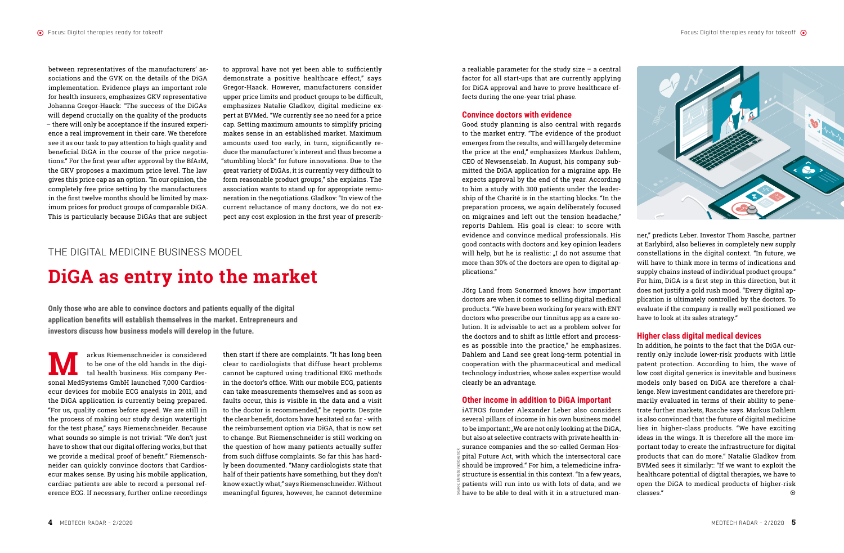

**M** arkus Riemenschneider is considered<br>to be one of the old hands in the digital health business. His company Perto be one of the old hands in the digital health business. His company Personal MedSystems GmbH launched 7,000 Cardiosecur devices for mobile ECG analysis in 2011, and the DiGA application is currently being prepared. "For us, quality comes before speed. We are still in the process of making our study design watertight for the test phase," says Riemenschneider. Because what sounds so simple is not trivial: "We don't just have to show that our digital offering works, but that we provide a medical proof of benefit." Riemenschneider can quickly convince doctors that Cardiosecur makes sense. By using his mobile application, cardiac patients are able to record a personal reference ECG. If necessary, further online recordings

then start if there are complaints. "It has long been clear to cardiologists that diffuse heart problems cannot be captured using traditional EKG methods in the doctor's office. With our mobile ECG, patients can take measurements themselves and as soon as faults occur, this is visible in the data and a visit to the doctor is recommended," he reports. Despite the clear benefit, doctors have hesitated so far - with the reimbursement option via DiGA, that is now set to change. But Riemenschneider is still working on the question of how many patients actually suffer from such diffuse complaints. So far this has hardly been documented. "Many cardiologists state that half of their patients have something, but they don't know exactly what," says Riemenschneider. Without meaningful figures, however, he cannot determine<br>meaningful figures, however, he cannot determine  $\frac{1}{2}$ <br>meaningful figures, however, he cannot determine

iATROS founder Alexander Leber also considers several pillars of income in his own business model to be important: "We are not only looking at the DiGA, but also at selective contracts with private health insurance companies and the so-called German Hospital Future Act, with which the intersectoral care should be improved." For him, a telemedicine infrastructure is essential in this context. "In a few years, patients will run into us with lots of data, and we  $\bar{\bar{s}}$  have to be able to deal with it in a structured man-

a realiable parameter for the study size – a central factor for all start-ups that are currently applying for DiGA approval and have to prove healthcare effects during the one-year trial phase.

#### **Convince doctors with evidence**

Good study planning is also central with regards to the market entry. "The evidence of the product emerges from the results, and will largely determine the price at the end," emphasizes Markus Dahlem, CEO of Newsenselab. In August, his company submitted the DiGA application for a migraine app. He expects approval by the end of the year. According to him a study with 300 patients under the leadership of the Charité is in the starting blocks. "In the preparation process, we again deliberately focused on migraines and left out the tension headache," reports Dahlem. His goal is clear: to score with evidence and convince medical professionals. His good contacts with doctors and key opinion leaders will help, but he is realistic: "I do not assume that more than 30% of the doctors are open to digital applications."

Jörg Land from Sonormed knows how important doctors are when it comes to selling digital medical products. "We have been working for years with ENT doctors who prescribe our tinnitus app as a care solution. It is advisable to act as a problem solver for the doctors and to shift as little effort and processes as possible into the practice," he emphasizes. Dahlem and Land see great long-term potential in cooperation with the pharmaceutical and medical technology industries, whose sales expertise would clearly be an advantage.

#### **Other income in addition to DiGA important**

### The digital medicine Business model

# **DiGA as entry into the market**

**Only those who are able to convince doctors and patients equally of the digital application benefits will establish themselves in the market. Entrepreneurs and investors discuss how business models will develop in the future.**

ner," predicts Leber. Investor Thom Rasche, partner at Earlybird, also believes in completely new supply constellations in the digital context. "In future, we will have to think more in terms of indications and supply chains instead of individual product groups." For him, DiGA is a first step in this direction, but it does not justify a gold rush mood. "Every digital application is ultimately controlled by the doctors. To evaluate if the company is really well positioned we have to look at its sales strategy."

#### **Higher class digital medical devices**

In addition, he points to the fact that the DiGA currently only include lower-risk products with little patent protection. According to him, the wave of low cost digital generics is inevitable and business models only based on DiGA are therefore a challenge. New investment candidates are therefore primarily evaluated in terms of their ability to penetrate further markets, Rasche says. Markus Dahlem is also convinced that the future of digital medicine lies in higher-class products. "We have exciting ideas in the wings. It is therefore all the more important today to create the infrastructure for digital products that can do more." Natalie Gladkov from BVMed sees it similarly:: "If we want to exploit the healthcare potential of digital therapies, we have to open the DiGA to medical products of higher-risk classes." ¤

between representatives of the manufacturers' associations and the GVK on the details of the DiGA implementation. Evidence plays an important role for health insurers, emphasizes GKV representative Johanna Gregor-Haack: "The success of the DiGAs will depend crucially on the quality of the products – there will only be acceptance if the insured experience a real improvement in their care. We therefore see it as our task to pay attention to high quality and beneficial DiGA in the course of the price negotiations." For the first year after approval by the BfArM, the GKV proposes a maximum price level. The law gives this price cap as an option. "In our opinion, the completely free price setting by the manufacturers in the first twelve months should be limited by maximum prices for product groups of comparable DiGA. This is particularly because DiGAs that are subject

to approval have not yet been able to sufficiently demonstrate a positive healthcare effect," says Gregor-Haack. However, manufacturers consider upper price limits and product groups to be difficult, emphasizes Natalie Gladkov, digital medicine expert at BVMed. "We currently see no need for a price cap. Setting maximum amounts to simplify pricing makes sense in an established market. Maximum amounts used too early, in turn, significantly reduce the manufacturer's interest and thus become a "stumbling block" for future innovations. Due to the great variety of DiGAs, it is currently very difficult to form reasonable product groups," she explains. The association wants to stand up for appropriate remuneration in the negotiations. Gladkov: "In view of the current reluctance of many doctors, we do not expect any cost explosion in the first year of prescrib-